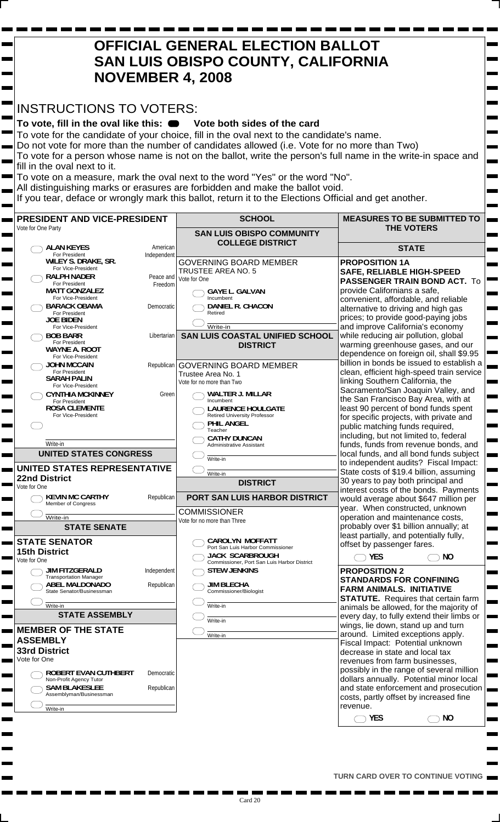## **OFFICIAL GENERAL ELECTION BALLOT SAN LUIS OBISPO COUNTY, CALIFORNIA NOVEMBER 4, 2008**  INSTRUCTIONS TO VOTERS: To vote, fill in the oval like this:  $\bullet$  Vote both sides of the card To vote for the candidate of your choice, fill in the oval next to the candidate's name. Do not vote for more than the number of candidates allowed (i.e. Vote for no more than Two) To vote for a person whose name is not on the ballot, write the person's full name in the write-in space and fill in the oval next to it. To vote on a measure, mark the oval next to the word "Yes" or the word "No". All distinguishing marks or erasures are forbidden and make the ballot void. If you tear, deface or wrongly mark this ballot, return it to the Elections Official and get another. **SCHOOL MEASURES TO BE SUBMITTED TO PRESIDENT AND VICE-PRESIDENT THE VOTERS** Vote for One Party **SAN LUIS OBISPO COMMUNITY COLLEGE DISTRICT ALAN KEYES STATE** American Independent For President **WILEY S. DRAKE, SR. PROPOSITION 1A** GOVERNING BOARD MEMBER For Vice-President TRUSTEE AREA NO. 5 **SAFE, RELIABLE HIGH-SPEED**  Peace and **RALPH NADER** Vote for One **PASSENGER TRAIN BOND ACT.** To For Presiden Freedom **MATT GONZALEZ** provide Californians a safe, **GAYE L. GALVAN** Incumbent **For Vice-President** convenient, affordable, and reliable **DANIEL R. CHACON BARACK OBAMA** Democratic  $\bigcap$ alternative to driving and high gas For President **JOE BIDEN** Retired prices; to provide good-paying jobs Write-in For Vice-President and improve California's economy **BOB BARR SAN LUIS COASTAL UNIFIED SCHOOL**  Libertarian while reducing air pollution, global For President **WAYNE A. ROOT DISTRICT** warming greenhouse gases, and our dependence on foreign oil, shall \$9.95 **For Vice-Presider** billion in bonds be issued to establish a **JOHN MCCAIN** Republican GOVERNING BOARD MEMBER clean, efficient high-speed train service For President **SARAH PALIN** Trustee Area No. 1 linking Southern California, the Vote for no more than Two For Vice-President Sacramento/San Joaquin Valley, and **WALTER J. MILLAR CYNTHIA MCKINNEY** Green the San Francisco Bay Area, with at **For Presid** Incumbent **LAURENCE HOULGATE ROSA CLEMENTE** least 90 percent of bond funds spent **For Vice-President** Retired University Professo for specific projects, with private and **PHIL ANGEL**  $\bigcap$ public matching funds required, Teacher including, but not limited to, federal **CATHY DUNCAN** Write-in funds, funds from revenue bonds, and Administrative Assistant **UNITED STATES CONGRESS** local funds, and all bond funds subject Write-in to independent audits? Fiscal Impact: **UNITED STATES REPRESENTATIVE** State costs of \$19.4 billion, assuming Write-in **22nd District** 30 years to pay both principal and **DISTRICT** Vote for One interest costs of the bonds. Payments **KEVIN MC CARTHY PORT SAN LUIS HARBOR DISTRICT** Republican would average about \$647 million per Member of Congress year. When constructed, unknown Write-in COMMISSIONER operation and maintenance costs, Vote for no more than Three **STATE SENATE** probably over \$1 billion annually; at least partially, and potentially fully, **CAROLYN MOFFATT STATE SENATOR** offset by passenger fares. Port San Luis Harbor Commissioner **15th District JACK SCARBROUGH** Commissioner, Port San Luis Harbor District **YES NO**  $\bigcap$ Vote for One **JIM FITZGERALD STEW JENKINS PROPOSITION 2** Independent **Transportation Manager STANDARDS FOR CONFINING**  Republican

**ABEL MALDONADO** State Senator/Businessman  $\frac{1}{\text{Write-in}}$ **STATE ASSEMBLY ROBERT EVAN CUTHBERT MEMBER OF THE STATE ASSEMBLY 33rd District** Vote for One

Н

**Non-Profit Agency Tuto** Democratic **SAM BLAKESLEE** Assemblyman/Businessman Republican Write-in

**JIM BLECHA** DEE OT IT<br>nissioner/Biologist

Write-in  $\bigcirc$   $\overline{\text{Write-in}}$ 

Write-in

**FARM ANIMALS. INITIATIVE STATUTE.** Requires that certain farm animals be allowed, for the majority of every day, to fully extend their limbs or wings, lie down, stand up and turn around. Limited exceptions apply. Fiscal Impact: Potential unknown decrease in state and local tax revenues from farm businesses, possibly in the range of several million dollars annually. Potential minor local and state enforcement and prosecution costs, partly offset by increased fine revenue.

**YES NO**